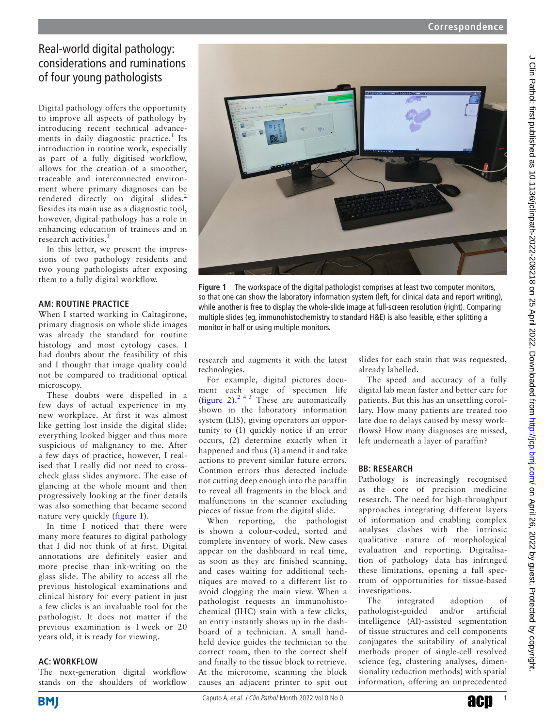# Real-world digital pathology: considerations and ruminations of four young pathologists

Digital pathology offers the opportunity to improve all aspects of pathology by introducing recent technical advance-ments in daily diagnostic practice.<sup>[1](#page-2-0)</sup> Its introduction in routine work, especially as part of a fully digitised workflow, allows for the creation of a smoother, traceable and interconnected environment where primary diagnoses can be rendered directly on digital slides.<sup>[2](#page-2-1)</sup> Besides its main use as a diagnostic tool, however, digital pathology has a role in enhancing education of trainees and in research activities.<sup>[3](#page-2-2)</sup>

In this letter, we present the impressions of two pathology residents and two young pathologists after exposing them to a fully digital workflow.

## **AM: ROUTINE PRACTICE**

When I started working in Caltagirone, primary diagnosis on whole slide images was already the standard for routine histology and most cytology cases. I had doubts about the feasibility of this and I thought that image quality could not be compared to traditional optical microscopy.

These doubts were dispelled in a few days of actual experience in my new workplace. At first it was almost like getting lost inside the digital slide: everything looked bigger and thus more suspicious of malignancy to me. After a few days of practice, however, I realised that I really did not need to crosscheck glass slides anymore. The ease of glancing at the whole mount and then progressively looking at the finer details was also something that became second nature very quickly [\(figure](#page-0-0) 1).

In time I noticed that there were many more features to digital pathology that I did not think of at first. Digital annotations are definitely easier and more precise than ink-writing on the glass slide. The ability to access all the previous histological examinations and clinical history for every patient in just a few clicks is an invaluable tool for the pathologist. It does not matter if the previous examination is 1 week or 20 years old, it is ready for viewing.

### **AC: WORKFLOW**

The next-generation digital workflow stands on the shoulders of workflow



**Figure 1** The workspace of the digital pathologist comprises at least two computer monitors, so that one can show the laboratory information system (left, for clinical data and report writing), while another is free to display the whole-slide image at full-screen resolution (right). Comparing multiple slides (eg, immunohistochemistry to standard H&E) is also feasible, either splitting a monitor in half or using multiple monitors.

<span id="page-0-0"></span>research and augments it with the latest technologies.

For example, digital pictures document each stage of specimen life ([figure](#page-1-0) 2).<sup>[2 4 5](#page-2-1)</sup> These are automatically shown in the laboratory information system (LIS), giving operators an opportunity to (1) quickly notice if an error occurs, (2) determine exactly when it happened and thus (3) amend it and take actions to prevent similar future errors. Common errors thus detected include not cutting deep enough into the paraffin to reveal all fragments in the block and malfunctions in the scanner excluding pieces of tissue from the digital slide.

When reporting, the pathologist is shown a colour-coded, sorted and complete inventory of work. New cases appear on the dashboard in real time, as soon as they are finished scanning, and cases waiting for additional techniques are moved to a different list to avoid clogging the main view. When a pathologist requests an immunohistochemical (IHC) stain with a few clicks, an entry instantly shows up in the dashboard of a technician. A small handheld device guides the technician to the correct room, then to the correct shelf and finally to the tissue block to retrieve. At the microtome, scanning the block causes an adjacent printer to spit out slides for each stain that was requested, already labelled.

The speed and accuracy of a fully digital lab mean faster and better care for patients. But this has an unsettling corollary. How many patients are treated too late due to delays caused by messy workflows? How many diagnoses are missed, left underneath a layer of paraffin?

# **BB: RESEARCH**

Pathology is increasingly recognised as the core of precision medicine research. The need for high-throughput approaches integrating different layers of information and enabling complex analyses clashes with the intrinsic qualitative nature of morphological evaluation and reporting. Digitalisation of pathology data has infringed these limitations, opening a full spectrum of opportunities for tissue-based investigations.

The integrated adoption of pathologist-guided and/or artificial intelligence (AI)-assisted segmentation of tissue structures and cell components conjugates the suitability of analytical methods proper of single-cell resolved science (eg, clustering analyses, dimensionality reduction methods) with spatial information, offering an unprecedented

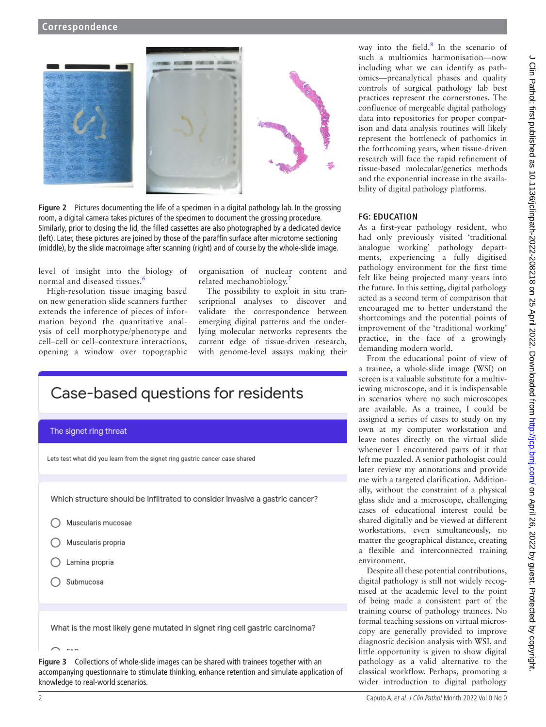

**Figure 2** Pictures documenting the life of a specimen in a digital pathology lab. In the grossing room, a digital camera takes pictures of the specimen to document the grossing procedure. Similarly, prior to closing the lid, the filled cassettes are also photographed by a dedicated device (left). Later, these pictures are joined by those of the paraffin surface after microtome sectioning (middle), by the slide macroimage after scanning (right) and of course by the whole-slide image.

<span id="page-1-0"></span>level of insight into the biology of normal and diseased tissues.<sup>[6](#page-2-3)</sup>

High-resolution tissue imaging based on new generation slide scanners further extends the inference of pieces of information beyond the quantitative analysis of cell morphotype/phenotype and cell–cell or cell–contexture interactions, opening a window over topographic organisation of nuclear content and related mechanobiology.

The possibility to exploit in situ transcriptional analyses to discover and validate the correspondence between emerging digital patterns and the underlying molecular networks represents the current edge of tissue-driven research, with genome-level assays making their

| Case-based questions for residents                                           |
|------------------------------------------------------------------------------|
| The signet ring threat                                                       |
| Lets test what did you learn from the signet ring gastric cancer case shared |
|                                                                              |
| Which structure should be infiltrated to consider invasive a gastric cancer? |
| Muscularis mucosae                                                           |
| Muscularis propria                                                           |
| Lamina propria                                                               |
| Submucosa                                                                    |
|                                                                              |
| What is the most likely gene mutated in signet ring cell gastric carcinoma?  |

<span id="page-1-1"></span>**Figure 3** Collections of whole-slide images can be shared with trainees together with an accompanying questionnaire to stimulate thinking, enhance retention and simulate application of knowledge to real-world scenarios.

way into the field. $8$  In the scenario of such a multiomics harmonisation—now including what we can identify as pathomics—preanalytical phases and quality controls of surgical pathology lab best practices represent the cornerstones. The confluence of mergeable digital pathology data into repositories for proper comparison and data analysis routines will likely represent the bottleneck of pathomics in the forthcoming years, when tissue-driven research will face the rapid refinement of tissue-based molecular/genetics methods and the exponential increase in the availability of digital pathology platforms.

#### **FG: EDUCATION**

As a first-year pathology resident, who had only previously visited 'traditional analogue working' pathology departments, experiencing a fully digitised pathology environment for the first time felt like being projected many years into the future. In this setting, digital pathology acted as a second term of comparison that encouraged me to better understand the shortcomings and the potential points of improvement of the 'traditional working' practice, in the face of a growingly demanding modern world.

From the educational point of view of a trainee, a whole-slide image (WSI) on screen is a valuable substitute for a multiviewing microscope, and it is indispensable in scenarios where no such microscopes are available. As a trainee, I could be assigned a series of cases to study on my own at my computer workstation and leave notes directly on the virtual slide whenever I encountered parts of it that left me puzzled. A senior pathologist could later review my annotations and provide me with a targeted clarification. Additionally, without the constraint of a physical glass slide and a microscope, challenging cases of educational interest could be shared digitally and be viewed at different workstations, even simultaneously, no matter the geographical distance, creating a flexible and interconnected training environment.

Despite all these potential contributions, digital pathology is still not widely recognised at the academic level to the point of being made a consistent part of the training course of pathology trainees. No formal teaching sessions on virtual microscopy are generally provided to improve diagnostic decision analysis with WSI, and little opportunity is given to show digital pathology as a valid alternative to the classical workflow. Perhaps, promoting a wider introduction to digital pathology